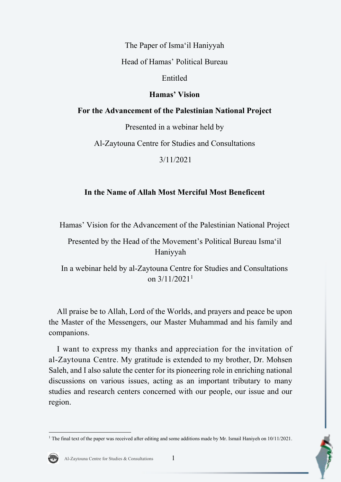The Paper of Isma'il Haniyyah

Head of Hamas' Political Bureau

Entitled

## **Hamas' Vision**

## **For the Advancement of the Palestinian National Project**

Presented in a webinar held by

Al-Zaytouna Centre for Studies and Consultations

3/11/2021

# **In the Name of Allah Most Merciful Most Beneficent**

Hamas' Vision for the Advancement of the Palestinian National Project

Presented by the Head of the Movement's Political Bureau Isma'il Haniyyah

In a webinar held by al-Zaytouna Centre for Studies and Consultations on  $3/11/2021$  $3/11/2021$  $3/11/2021$ <sup>1</sup>

All praise be to Allah, Lord of the Worlds, and prayers and peace be upon the Master of the Messengers, our Master Muhammad and his family and companions.

I want to express my thanks and appreciation for the invitation of al-Zaytouna Centre. My gratitude is extended to my brother, Dr. Mohsen Saleh, and I also salute the center for its pioneering role in enriching national discussions on various issues, acting as an important tributary to many studies and research centers concerned with our people, our issue and our region.

<span id="page-0-0"></span><sup>&</sup>lt;sup>1</sup> The final text of the paper was received after editing and some additions made by Mr. Ismail Haniyeh on  $10/11/2021$ .

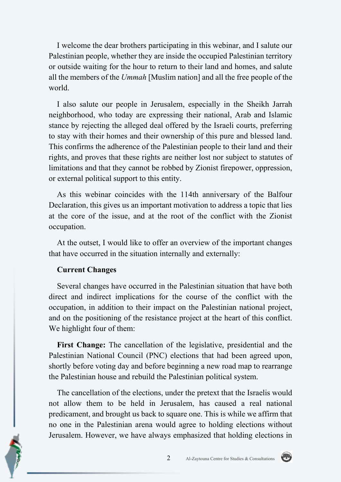I welcome the dear brothers participating in this webinar, and I salute our Palestinian people, whether they are inside the occupied Palestinian territory or outside waiting for the hour to return to their land and homes, and salute all the members of the *Ummah* [Muslim nation] and all the free people of the world.

I also salute our people in Jerusalem, especially in the Sheikh Jarrah neighborhood, who today are expressing their national, Arab and Islamic stance by rejecting the alleged deal offered by the Israeli courts, preferring to stay with their homes and their ownership of this pure and blessed land. This confirms the adherence of the Palestinian people to their land and their rights, and proves that these rights are neither lost nor subject to statutes of limitations and that they cannot be robbed by Zionist firepower, oppression, or external political support to this entity.

As this webinar coincides with the 114th anniversary of the Balfour Declaration, this gives us an important motivation to address a topic that lies at the core of the issue, and at the root of the conflict with the Zionist occupation.

At the outset, I would like to offer an overview of the important changes that have occurred in the situation internally and externally:

### **Current Changes**

Several changes have occurred in the Palestinian situation that have both direct and indirect implications for the course of the conflict with the occupation, in addition to their impact on the Palestinian national project, and on the positioning of the resistance project at the heart of this conflict. We highlight four of them:

**First Change:** The cancellation of the legislative, presidential and the Palestinian National Council (PNC) elections that had been agreed upon, shortly before voting day and before beginning a new road map to rearrange the Palestinian house and rebuild the Palestinian political system.

The cancellation of the elections, under the pretext that the Israelis would not allow them to be held in Jerusalem, has caused a real national predicament, and brought us back to square one. This is while we affirm that no one in the Palestinian arena would agree to holding elections without Jerusalem. However, we have always emphasized that holding elections in

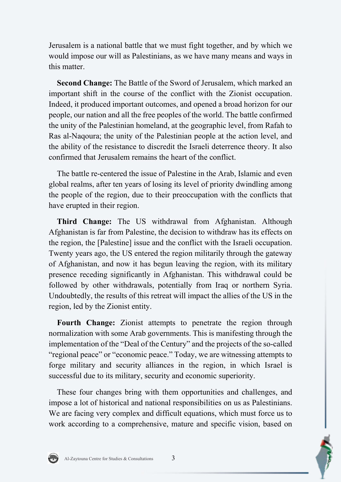Jerusalem is a national battle that we must fight together, and by which we would impose our will as Palestinians, as we have many means and ways in this matter.

**Second Change:** The Battle of the Sword of Jerusalem, which marked an important shift in the course of the conflict with the Zionist occupation. Indeed, it produced important outcomes, and opened a broad horizon for our people, our nation and all the free peoples of the world. The battle confirmed the unity of the Palestinian homeland, at the geographic level, from Rafah to Ras al-Naqoura; the unity of the Palestinian people at the action level, and the ability of the resistance to discredit the Israeli deterrence theory. It also confirmed that Jerusalem remains the heart of the conflict.

The battle re-centered the issue of Palestine in the Arab, Islamic and even global realms, after ten years of losing its level of priority dwindling among the people of the region, due to their preoccupation with the conflicts that have erupted in their region.

**Third Change:** The US withdrawal from Afghanistan. Although Afghanistan is far from Palestine, the decision to withdraw has its effects on the region, the [Palestine] issue and the conflict with the Israeli occupation. Twenty years ago, the US entered the region militarily through the gateway of Afghanistan, and now it has begun leaving the region, with its military presence receding significantly in Afghanistan. This withdrawal could be followed by other withdrawals, potentially from Iraq or northern Syria. Undoubtedly, the results of this retreat will impact the allies of the US in the region, led by the Zionist entity.

**Fourth Change:** Zionist attempts to penetrate the region through normalization with some Arab governments. This is manifesting through the implementation of the "Deal of the Century" and the projects of the so-called "regional peace" or "economic peace." Today, we are witnessing attempts to forge military and security alliances in the region, in which Israel is successful due to its military, security and economic superiority.

These four changes bring with them opportunities and challenges, and impose a lot of historical and national responsibilities on us as Palestinians. We are facing very complex and difficult equations, which must force us to work according to a comprehensive, mature and specific vision, based on

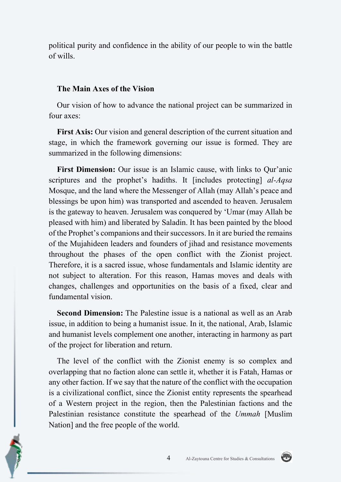political purity and confidence in the ability of our people to win the battle of wills.

#### **The Main Axes of the Vision**

Our vision of how to advance the national project can be summarized in four axes:

**First Axis:** Our vision and general description of the current situation and stage, in which the framework governing our issue is formed. They are summarized in the following dimensions:

**First Dimension:** Our issue is an Islamic cause, with links to Qur'anic scriptures and the prophet's hadiths. It [includes protecting] *al-Aqsa*  Mosque, and the land where the Messenger of Allah (may Allah's peace and blessings be upon him) was transported and ascended to heaven. Jerusalem is the gateway to heaven. Jerusalem was conquered by 'Umar (may Allah be pleased with him) and liberated by Saladin. It has been painted by the blood of the Prophet's companions and their successors. In it are buried the remains of the Mujahideen leaders and founders of jihad and resistance movements throughout the phases of the open conflict with the Zionist project. Therefore, it is a sacred issue, whose fundamentals and Islamic identity are not subject to alteration. For this reason, Hamas moves and deals with changes, challenges and opportunities on the basis of a fixed, clear and fundamental vision.

**Second Dimension:** The Palestine issue is a national as well as an Arab issue, in addition to being a humanist issue. In it, the national, Arab, Islamic and humanist levels complement one another, interacting in harmony as part of the project for liberation and return.

The level of the conflict with the Zionist enemy is so complex and overlapping that no faction alone can settle it, whether it is Fatah, Hamas or any other faction. If we say that the nature of the conflict with the occupation is a civilizational conflict, since the Zionist entity represents the spearhead of a Western project in the region, then the Palestinian factions and the Palestinian resistance constitute the spearhead of the *Ummah* [Muslim Nation] and the free people of the world.

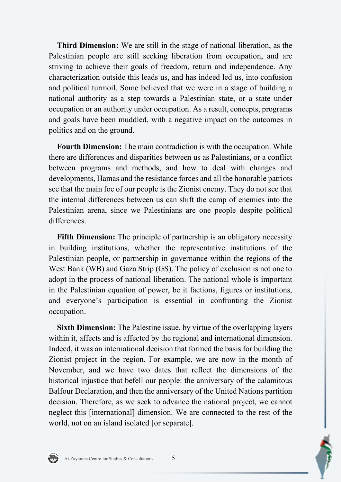**Third Dimension:** We are still in the stage of national liberation, as the Palestinian people are still seeking liberation from occupation, and are striving to achieve their goals of freedom, return and independence. Any characterization outside this leads us, and has indeed led us, into confusion and political turmoil. Some believed that we were in a stage of building a national authority as a step towards a Palestinian state, or a state under occupation or an authority under occupation. As a result, concepts, programs and goals have been muddled, with a negative impact on the outcomes in politics and on the ground.

**Fourth Dimension:** The main contradiction is with the occupation. While there are differences and disparities between us as Palestinians, or a conflict between programs and methods, and how to deal with changes and developments, Hamas and the resistance forces and all the honorable patriots see that the main foe of our people is the Zionist enemy. They do not see that the internal differences between us can shift the camp of enemies into the Palestinian arena, since we Palestinians are one people despite political differences.

**Fifth Dimension:** The principle of partnership is an obligatory necessity in building institutions, whether the representative institutions of the Palestinian people, or partnership in governance within the regions of the West Bank (WB) and Gaza Strip (GS). The policy of exclusion is not one to adopt in the process of national liberation. The national whole is important in the Palestinian equation of power, be it factions, figures or institutions, and everyone's participation is essential in confronting the Zionist occupation.

**Sixth Dimension:** The Palestine issue, by virtue of the overlapping layers within it, affects and is affected by the regional and international dimension. Indeed, it was an international decision that formed the basis for building the Zionist project in the region. For example, we are now in the month of November, and we have two dates that reflect the dimensions of the historical injustice that befell our people: the anniversary of the calamitous Balfour Declaration, and then the anniversary of the United Nations partition decision. Therefore, as we seek to advance the national project, we cannot neglect this [international] dimension. We are connected to the rest of the world, not on an island isolated [or separate].

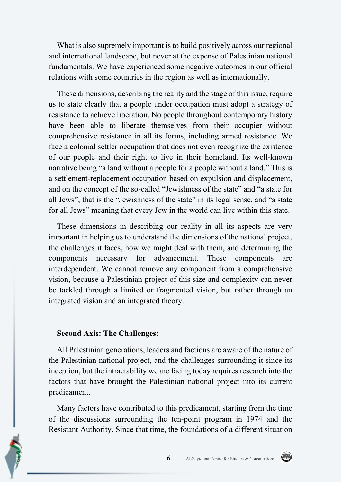What is also supremely important is to build positively across our regional and international landscape, but never at the expense of Palestinian national fundamentals. We have experienced some negative outcomes in our official relations with some countries in the region as well as internationally.

These dimensions, describing the reality and the stage of this issue, require us to state clearly that a people under occupation must adopt a strategy of resistance to achieve liberation. No people throughout contemporary history have been able to liberate themselves from their occupier without comprehensive resistance in all its forms, including armed resistance. We face a colonial settler occupation that does not even recognize the existence of our people and their right to live in their homeland. Its well-known narrative being "a land without a people for a people without a land." This is a settlement-replacement occupation based on expulsion and displacement, and on the concept of the so-called "Jewishness of the state" and "a state for all Jews"; that is the "Jewishness of the state" in its legal sense, and "a state for all Jews" meaning that every Jew in the world can live within this state.

These dimensions in describing our reality in all its aspects are very important in helping us to understand the dimensions of the national project, the challenges it faces, how we might deal with them, and determining the components necessary for advancement. These components are interdependent. We cannot remove any component from a comprehensive vision, because a Palestinian project of this size and complexity can never be tackled through a limited or fragmented vision, but rather through an integrated vision and an integrated theory.

#### **Second Axis: The Challenges:**

All Palestinian generations, leaders and factions are aware of the nature of the Palestinian national project, and the challenges surrounding it since its inception, but the intractability we are facing today requires research into the factors that have brought the Palestinian national project into its current predicament.

Many factors have contributed to this predicament, starting from the time of the discussions surrounding the ten-point program in 1974 and the Resistant Authority. Since that time, the foundations of a different situation

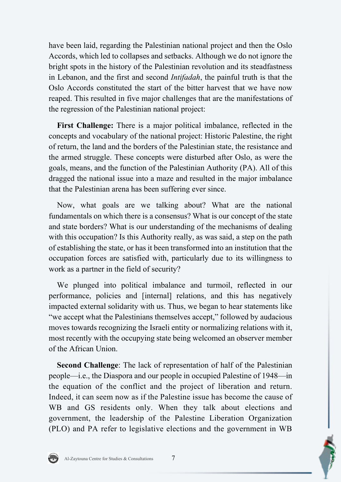have been laid, regarding the Palestinian national project and then the Oslo Accords, which led to collapses and setbacks. Although we do not ignore the bright spots in the history of the Palestinian revolution and its steadfastness in Lebanon, and the first and second *Intifadah*, the painful truth is that the Oslo Accords constituted the start of the bitter harvest that we have now reaped. This resulted in five major challenges that are the manifestations of the regression of the Palestinian national project:

**First Challenge:** There is a major political imbalance, reflected in the concepts and vocabulary of the national project: Historic Palestine, the right of return, the land and the borders of the Palestinian state, the resistance and the armed struggle. These concepts were disturbed after Oslo, as were the goals, means, and the function of the Palestinian Authority (PA). All of this dragged the national issue into a maze and resulted in the major imbalance that the Palestinian arena has been suffering ever since.

Now, what goals are we talking about? What are the national fundamentals on which there is a consensus? What is our concept of the state and state borders? What is our understanding of the mechanisms of dealing with this occupation? Is this Authority really, as was said, a step on the path of establishing the state, or has it been transformed into an institution that the occupation forces are satisfied with, particularly due to its willingness to work as a partner in the field of security?

We plunged into political imbalance and turmoil, reflected in our performance, policies and [internal] relations, and this has negatively impacted external solidarity with us. Thus, we began to hear statements like "we accept what the Palestinians themselves accept," followed by audacious moves towards recognizing the Israeli entity or normalizing relations with it, most recently with the occupying state being welcomed an observer member of the African Union.

**Second Challenge**: The lack of representation of half of the Palestinian people—i.e., the Diaspora and our people in occupied Palestine of 1948—in the equation of the conflict and the project of liberation and return. Indeed, it can seem now as if the Palestine issue has become the cause of WB and GS residents only. When they talk about elections and government, the leadership of the Palestine Liberation Organization (PLO) and PA refer to legislative elections and the government in WB

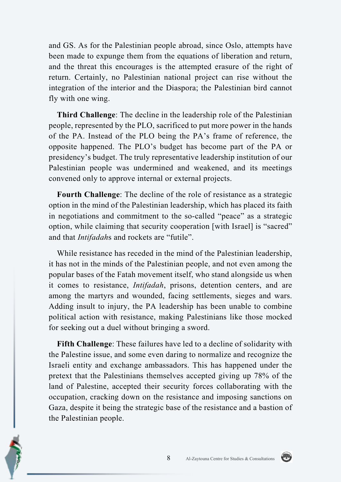and GS. As for the Palestinian people abroad, since Oslo, attempts have been made to expunge them from the equations of liberation and return, and the threat this encourages is the attempted erasure of the right of return. Certainly, no Palestinian national project can rise without the integration of the interior and the Diaspora; the Palestinian bird cannot fly with one wing.

**Third Challenge**: The decline in the leadership role of the Palestinian people, represented by the PLO, sacrificed to put more power in the hands of the PA. Instead of the PLO being the PA's frame of reference, the opposite happened. The PLO's budget has become part of the PA or presidency's budget. The truly representative leadership institution of our Palestinian people was undermined and weakened, and its meetings convened only to approve internal or external projects.

**Fourth Challenge**: The decline of the role of resistance as a strategic option in the mind of the Palestinian leadership, which has placed its faith in negotiations and commitment to the so-called "peace" as a strategic option, while claiming that security cooperation [with Israel] is "sacred" and that *Intifadah*s and rockets are "futile".

While resistance has receded in the mind of the Palestinian leadership, it has not in the minds of the Palestinian people, and not even among the popular bases of the Fatah movement itself, who stand alongside us when it comes to resistance, *Intifadah*, prisons, detention centers, and are among the martyrs and wounded, facing settlements, sieges and wars. Adding insult to injury, the PA leadership has been unable to combine political action with resistance, making Palestinians like those mocked for seeking out a duel without bringing a sword.

**Fifth Challenge**: These failures have led to a decline of solidarity with the Palestine issue, and some even daring to normalize and recognize the Israeli entity and exchange ambassadors. This has happened under the pretext that the Palestinians themselves accepted giving up 78% of the land of Palestine, accepted their security forces collaborating with the occupation, cracking down on the resistance and imposing sanctions on Gaza, despite it being the strategic base of the resistance and a bastion of the Palestinian people.



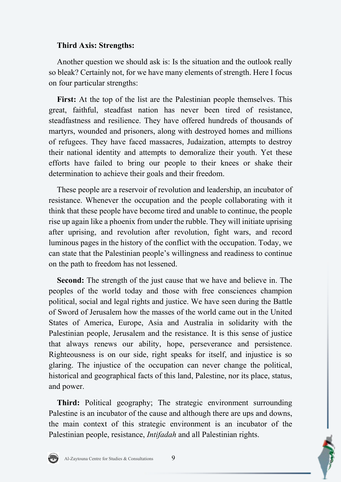## **Third Axis: Strengths:**

Another question we should ask is: Is the situation and the outlook really so bleak? Certainly not, for we have many elements of strength. Here I focus on four particular strengths:

**First:** At the top of the list are the Palestinian people themselves. This great, faithful, steadfast nation has never been tired of resistance, steadfastness and resilience. They have offered hundreds of thousands of martyrs, wounded and prisoners, along with destroyed homes and millions of refugees. They have faced massacres, Judaization, attempts to destroy their national identity and attempts to demoralize their youth. Yet these efforts have failed to bring our people to their knees or shake their determination to achieve their goals and their freedom.

These people are a reservoir of revolution and leadership, an incubator of resistance. Whenever the occupation and the people collaborating with it think that these people have become tired and unable to continue, the people rise up again like a phoenix from under the rubble. They will initiate uprising after uprising, and revolution after revolution, fight wars, and record luminous pages in the history of the conflict with the occupation. Today, we can state that the Palestinian people's willingness and readiness to continue on the path to freedom has not lessened.

**Second:** The strength of the just cause that we have and believe in. The peoples of the world today and those with free consciences champion political, social and legal rights and justice. We have seen during the Battle of Sword of Jerusalem how the masses of the world came out in the United States of America, Europe, Asia and Australia in solidarity with the Palestinian people, Jerusalem and the resistance. It is this sense of justice that always renews our ability, hope, perseverance and persistence. Righteousness is on our side, right speaks for itself, and injustice is so glaring. The injustice of the occupation can never change the political, historical and geographical facts of this land, Palestine, nor its place, status, and power.

**Third:** Political geography; The strategic environment surrounding Palestine is an incubator of the cause and although there are ups and downs, the main context of this strategic environment is an incubator of the Palestinian people, resistance, *Intifadah* and all Palestinian rights.

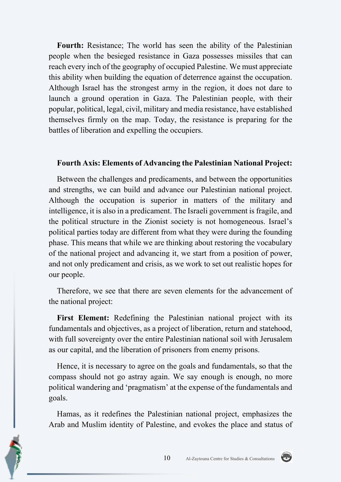**Fourth:** Resistance; The world has seen the ability of the Palestinian people when the besieged resistance in Gaza possesses missiles that can reach every inch of the geography of occupied Palestine. We must appreciate this ability when building the equation of deterrence against the occupation. Although Israel has the strongest army in the region, it does not dare to launch a ground operation in Gaza. The Palestinian people, with their popular, political, legal, civil, military and media resistance, have established themselves firmly on the map. Today, the resistance is preparing for the battles of liberation and expelling the occupiers.

#### **Fourth Axis: Elements of Advancing the Palestinian National Project:**

Between the challenges and predicaments, and between the opportunities and strengths, we can build and advance our Palestinian national project. Although the occupation is superior in matters of the military and intelligence, it is also in a predicament. The Israeli government is fragile, and the political structure in the Zionist society is not homogeneous. Israel's political parties today are different from what they were during the founding phase. This means that while we are thinking about restoring the vocabulary of the national project and advancing it, we start from a position of power, and not only predicament and crisis, as we work to set out realistic hopes for our people.

Therefore, we see that there are seven elements for the advancement of the national project:

**First Element:** Redefining the Palestinian national project with its fundamentals and objectives, as a project of liberation, return and statehood, with full sovereignty over the entire Palestinian national soil with Jerusalem as our capital, and the liberation of prisoners from enemy prisons.

Hence, it is necessary to agree on the goals and fundamentals, so that the compass should not go astray again. We say enough is enough, no more political wandering and 'pragmatism' at the expense of the fundamentals and goals.

Hamas, as it redefines the Palestinian national project, emphasizes the Arab and Muslim identity of Palestine, and evokes the place and status of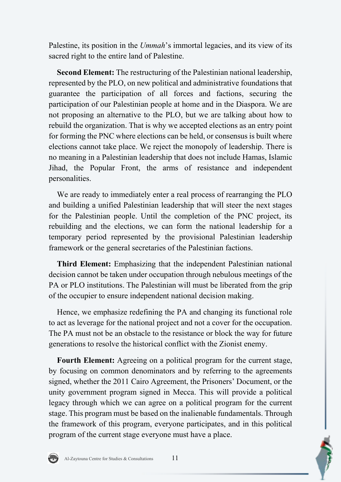Palestine, its position in the *Ummah*'s immortal legacies, and its view of its sacred right to the entire land of Palestine.

**Second Element:** The restructuring of the Palestinian national leadership, represented by the PLO, on new political and administrative foundations that guarantee the participation of all forces and factions, securing the participation of our Palestinian people at home and in the Diaspora. We are not proposing an alternative to the PLO, but we are talking about how to rebuild the organization. That is why we accepted elections as an entry point for forming the PNC where elections can be held, or consensus is built where elections cannot take place. We reject the monopoly of leadership. There is no meaning in a Palestinian leadership that does not include Hamas, Islamic Jihad, the Popular Front, the arms of resistance and independent personalities.

We are ready to immediately enter a real process of rearranging the PLO and building a unified Palestinian leadership that will steer the next stages for the Palestinian people. Until the completion of the PNC project, its rebuilding and the elections, we can form the national leadership for a temporary period represented by the provisional Palestinian leadership framework or the general secretaries of the Palestinian factions.

**Third Element:** Emphasizing that the independent Palestinian national decision cannot be taken under occupation through nebulous meetings of the PA or PLO institutions. The Palestinian will must be liberated from the grip of the occupier to ensure independent national decision making.

Hence, we emphasize redefining the PA and changing its functional role to act as leverage for the national project and not a cover for the occupation. The PA must not be an obstacle to the resistance or block the way for future generations to resolve the historical conflict with the Zionist enemy.

**Fourth Element:** Agreeing on a political program for the current stage, by focusing on common denominators and by referring to the agreements signed, whether the 2011 Cairo Agreement, the Prisoners' Document, or the unity government program signed in Mecca. This will provide a political legacy through which we can agree on a political program for the current stage. This program must be based on the inalienable fundamentals. Through the framework of this program, everyone participates, and in this political program of the current stage everyone must have a place.